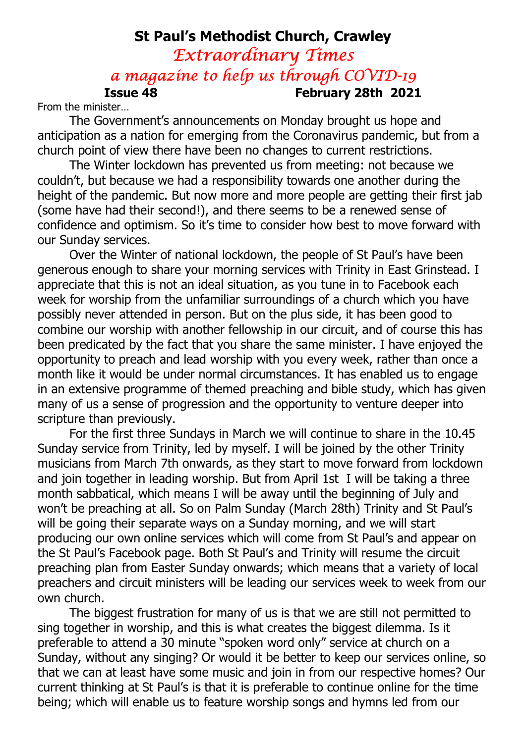# St Paul's Methodist Church, Crawley Extraordinary Times a magazine to help us through COVID-19 Issue 48 February 28th 2021

From the minister…

The Government's announcements on Monday brought us hope and anticipation as a nation for emerging from the Coronavirus pandemic, but from a church point of view there have been no changes to current restrictions.

The Winter lockdown has prevented us from meeting: not because we couldn't, but because we had a responsibility towards one another during the height of the pandemic. But now more and more people are getting their first jab (some have had their second!), and there seems to be a renewed sense of confidence and optimism. So it's time to consider how best to move forward with our Sunday services.

Over the Winter of national lockdown, the people of St Paul's have been generous enough to share your morning services with Trinity in East Grinstead. I appreciate that this is not an ideal situation, as you tune in to Facebook each week for worship from the unfamiliar surroundings of a church which you have possibly never attended in person. But on the plus side, it has been good to combine our worship with another fellowship in our circuit, and of course this has been predicated by the fact that you share the same minister. I have enjoyed the opportunity to preach and lead worship with you every week, rather than once a month like it would be under normal circumstances. It has enabled us to engage in an extensive programme of themed preaching and bible study, which has given many of us a sense of progression and the opportunity to venture deeper into scripture than previously.

For the first three Sundays in March we will continue to share in the 10.45 Sunday service from Trinity, led by myself. I will be joined by the other Trinity musicians from March 7th onwards, as they start to move forward from lockdown and join together in leading worship. But from April 1st I will be taking a three month sabbatical, which means I will be away until the beginning of July and won't be preaching at all. So on Palm Sunday (March 28th) Trinity and St Paul's will be going their separate ways on a Sunday morning, and we will start producing our own online services which will come from St Paul's and appear on the St Paul's Facebook page. Both St Paul's and Trinity will resume the circuit preaching plan from Easter Sunday onwards; which means that a variety of local preachers and circuit ministers will be leading our services week to week from our own church.

The biggest frustration for many of us is that we are still not permitted to sing together in worship, and this is what creates the biggest dilemma. Is it preferable to attend a 30 minute "spoken word only" service at church on a Sunday, without any singing? Or would it be better to keep our services online, so that we can at least have some music and join in from our respective homes? Our current thinking at St Paul's is that it is preferable to continue online for the time being; which will enable us to feature worship songs and hymns led from our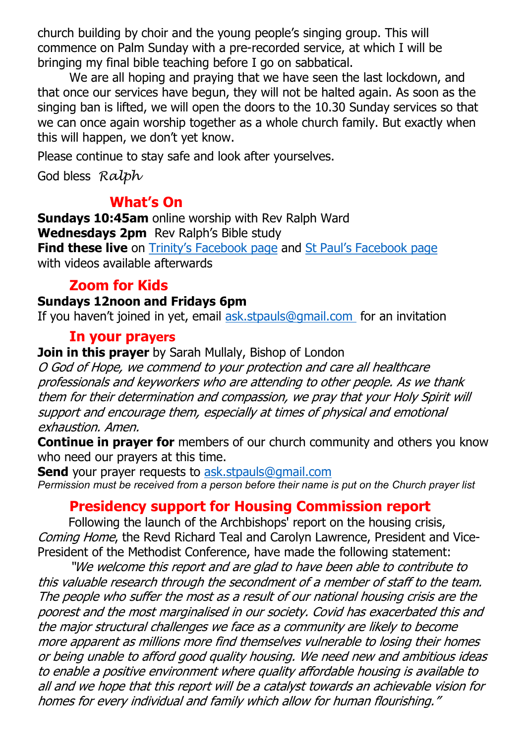church building by choir and the young people's singing group. This will commence on Palm Sunday with a pre-recorded service, at which I will be bringing my final bible teaching before I go on sabbatical.

We are all hoping and praying that we have seen the last lockdown, and that once our services have begun, they will not be halted again. As soon as the singing ban is lifted, we will open the doors to the 10.30 Sunday services so that we can once again worship together as a whole church family. But exactly when this will happen, we don't yet know.

Please continue to stay safe and look after yourselves.

God bless Ralph

## What's On

Sundays 10:45am online worship with Rev Ralph Ward Wednesdays 2pm Rev Ralph's Bible study Find these live on Trinity's Facebook page and St Paul's Facebook page with videos available afterwards

# Zoom for Kids

#### Sundays 12noon and Fridays 6pm

If you haven't joined in yet, email ask.stpauls@gmail.com for an invitation

## In your prayers

Join in this prayer by Sarah Mullaly, Bishop of London

O God of Hope, we commend to your protection and care all healthcare professionals and keyworkers who are attending to other people. As we thank them for their determination and compassion, we pray that your Holy Spirit will support and encourage them, especially at times of physical and emotional exhaustion. Amen.

**Continue in prayer for** members of our church community and others you know who need our prayers at this time.

Send your prayer requests to ask.stpauls@gmail.com Permission must be received from a person before their name is put on the Church prayer list

## Presidency support for Housing Commission report

 Following the launch of the Archbishops' report on the housing crisis, Coming Home, the Revd Richard Teal and Carolyn Lawrence, President and Vice-President of the Methodist Conference, have made the following statement:

"We welcome this report and are glad to have been able to contribute to this valuable research through the secondment of a member of staff to the team. The people who suffer the most as a result of our national housing crisis are the poorest and the most marginalised in our society. Covid has exacerbated this and the major structural challenges we face as a community are likely to become more apparent as millions more find themselves vulnerable to losing their homes or being unable to afford good quality housing. We need new and ambitious ideas to enable a positive environment where quality affordable housing is available to all and we hope that this report will be a catalyst towards an achievable vision for homes for every individual and family which allow for human flourishing."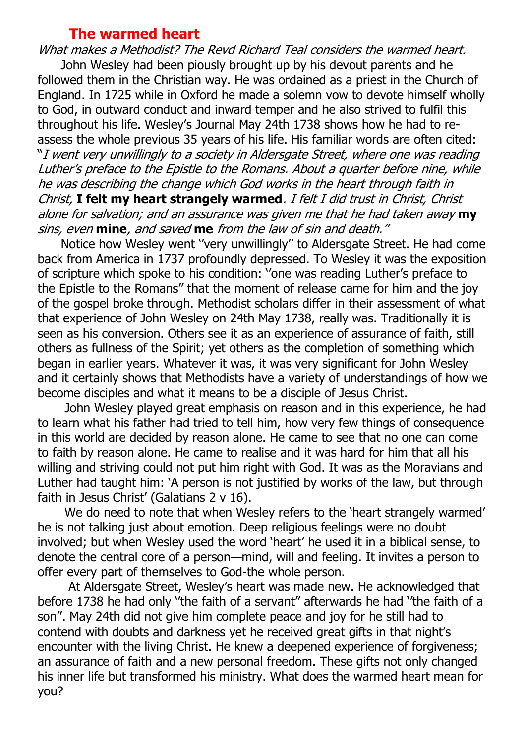#### The warmed heart

What makes a Methodist? The Revd Richard Teal considers the warmed heart. John Wesley had been piously brought up by his devout parents and he followed them in the Christian way. He was ordained as a priest in the Church of England. In 1725 while in Oxford he made a solemn vow to devote himself wholly to God, in outward conduct and inward temper and he also strived to fulfil this throughout his life. Wesley's Journal May 24th 1738 shows how he had to reassess the whole previous 35 years of his life. His familiar words are often cited: "I went very unwillingly to a society in Aldersgate Street, where one was reading Luther's preface to the Epistle to the Romans. About a quarter before nine, while he was describing the change which God works in the heart through faith in Christ, I felt my heart strangely warmed. I felt I did trust in Christ, Christ alone for salvation; and an assurance was given me that he had taken away my sins, even **mine**, and saved **me** from the law of sin and death."

 Notice how Wesley went ''very unwillingly'' to Aldersgate Street. He had come back from America in 1737 profoundly depressed. To Wesley it was the exposition of scripture which spoke to his condition: ''one was reading Luther's preface to the Epistle to the Romans'' that the moment of release came for him and the joy of the gospel broke through. Methodist scholars differ in their assessment of what that experience of John Wesley on 24th May 1738, really was. Traditionally it is seen as his conversion. Others see it as an experience of assurance of faith, still others as fullness of the Spirit; yet others as the completion of something which began in earlier years. Whatever it was, it was very significant for John Wesley and it certainly shows that Methodists have a variety of understandings of how we become disciples and what it means to be a disciple of Jesus Christ.

 John Wesley played great emphasis on reason and in this experience, he had to learn what his father had tried to tell him, how very few things of consequence in this world are decided by reason alone. He came to see that no one can come to faith by reason alone. He came to realise and it was hard for him that all his willing and striving could not put him right with God. It was as the Moravians and Luther had taught him: 'A person is not justified by works of the law, but through faith in Jesus Christ' (Galatians 2 v 16).

 We do need to note that when Wesley refers to the 'heart strangely warmed' he is not talking just about emotion. Deep religious feelings were no doubt involved; but when Wesley used the word 'heart' he used it in a biblical sense, to denote the central core of a person—mind, will and feeling. It invites a person to offer every part of themselves to God-the whole person.

 At Aldersgate Street, Wesley's heart was made new. He acknowledged that before 1738 he had only ''the faith of a servant'' afterwards he had ''the faith of a son''. May 24th did not give him complete peace and joy for he still had to contend with doubts and darkness yet he received great gifts in that night's encounter with the living Christ. He knew a deepened experience of forgiveness; an assurance of faith and a new personal freedom. These gifts not only changed his inner life but transformed his ministry. What does the warmed heart mean for you?